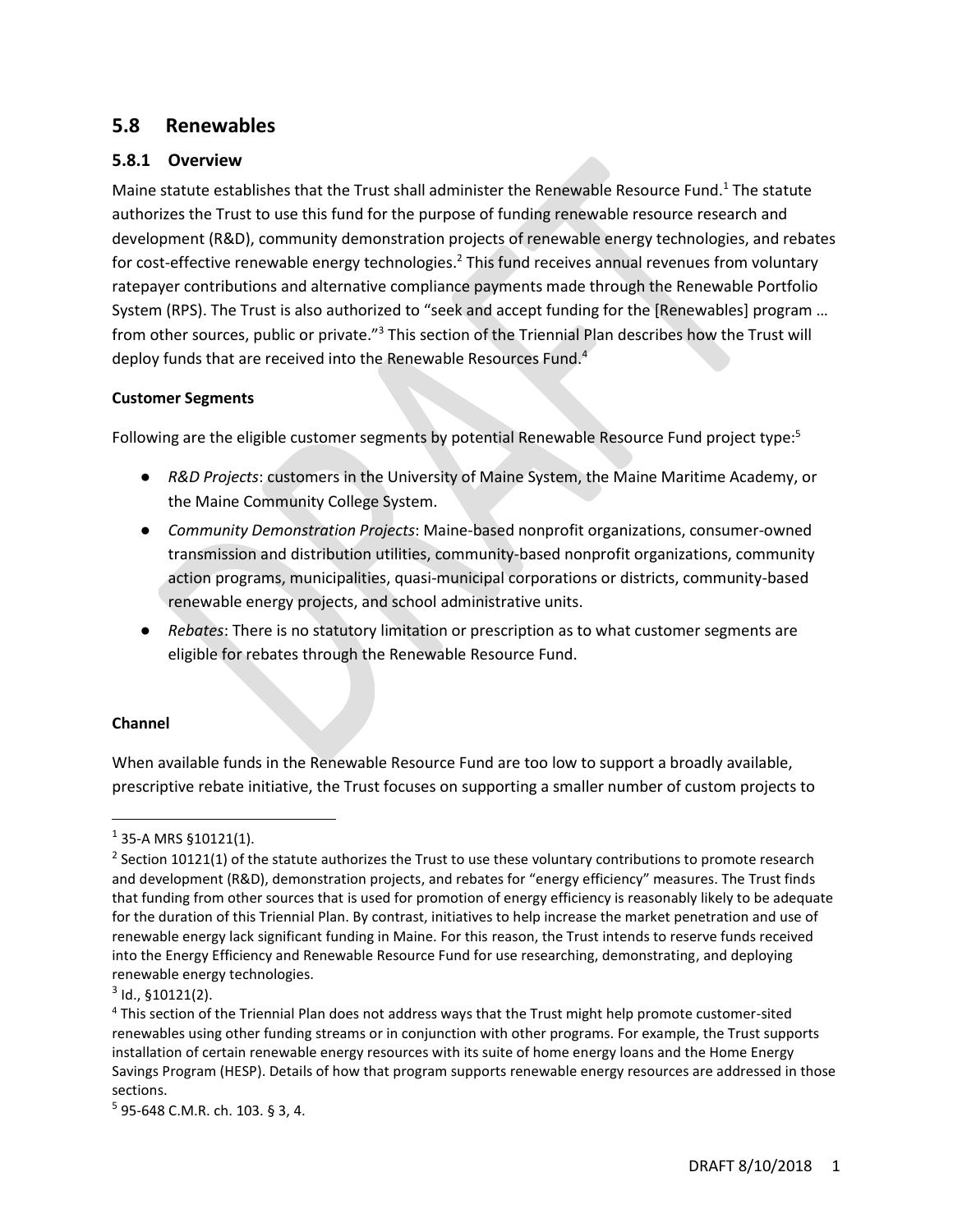# **5.8 Renewables**

### **5.8.1 Overview**

Maine statute establishes that the Trust shall administer the Renewable Resource Fund.<sup>1</sup> The statute authorizes the Trust to use this fund for the purpose of funding renewable resource research and development (R&D), community demonstration projects of renewable energy technologies, and rebates for cost-effective renewable energy technologies.<sup>2</sup> This fund receives annual revenues from voluntary ratepayer contributions and alternative compliance payments made through the Renewable Portfolio System (RPS). The Trust is also authorized to "seek and accept funding for the [Renewables] program … from other sources, public or private."<sup>3</sup> This section of the Triennial Plan describes how the Trust will deploy funds that are received into the Renewable Resources Fund.<sup>4</sup>

#### **Customer Segments**

Following are the eligible customer segments by potential Renewable Resource Fund project type:<sup>5</sup>

- *R&D Projects*: customers in the University of Maine System, the Maine Maritime Academy, or the Maine Community College System.
- *Community Demonstration Projects*: Maine-based nonprofit organizations, consumer-owned transmission and distribution utilities, community-based nonprofit organizations, community action programs, municipalities, quasi-municipal corporations or districts, community-based renewable energy projects, and school administrative units.
- *Rebates*: There is no statutory limitation or prescription as to what customer segments are eligible for rebates through the Renewable Resource Fund.

#### **Channel**

 $\overline{a}$ 

When available funds in the Renewable Resource Fund are too low to support a broadly available, prescriptive rebate initiative, the Trust focuses on supporting a smaller number of custom projects to

 $1$  35-A MRS §10121(1).

<sup>&</sup>lt;sup>2</sup> Section 10121(1) of the statute authorizes the Trust to use these voluntary contributions to promote research and development (R&D), demonstration projects, and rebates for "energy efficiency" measures. The Trust finds that funding from other sources that is used for promotion of energy efficiency is reasonably likely to be adequate for the duration of this Triennial Plan. By contrast, initiatives to help increase the market penetration and use of renewable energy lack significant funding in Maine. For this reason, the Trust intends to reserve funds received into the Energy Efficiency and Renewable Resource Fund for use researching, demonstrating, and deploying renewable energy technologies.

 $3$  Id.,  $$10121(2)$ .

<sup>4</sup> This section of the Triennial Plan does not address ways that the Trust might help promote customer-sited renewables using other funding streams or in conjunction with other programs. For example, the Trust supports installation of certain renewable energy resources with its suite of home energy loans and the Home Energy Savings Program (HESP). Details of how that program supports renewable energy resources are addressed in those sections.

<sup>5</sup> 95-648 C.M.R. ch. 103. § 3, 4.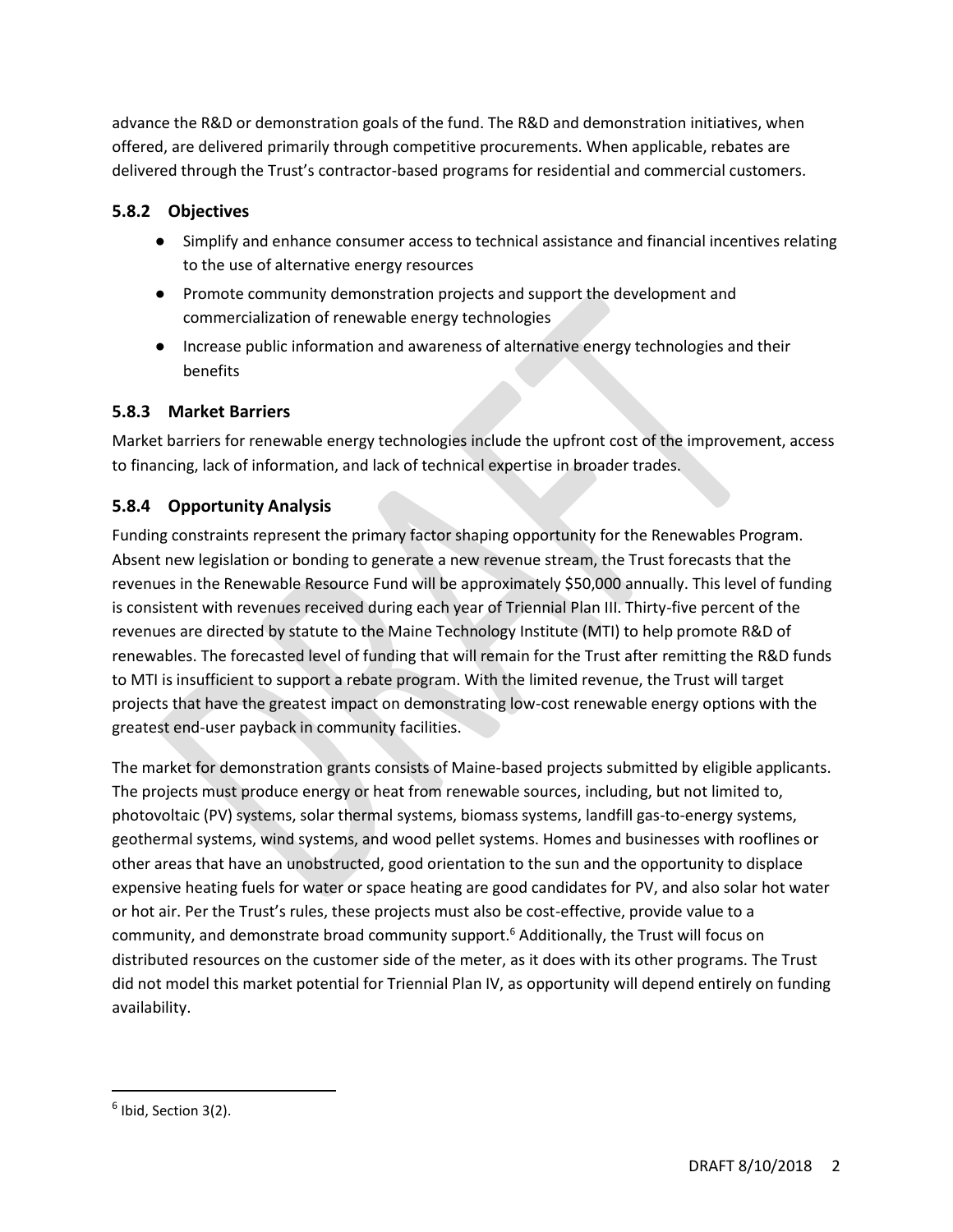advance the R&D or demonstration goals of the fund. The R&D and demonstration initiatives, when offered, are delivered primarily through competitive procurements. When applicable, rebates are delivered through the Trust's contractor-based programs for residential and commercial customers.

# **5.8.2 Objectives**

- Simplify and enhance consumer access to technical assistance and financial incentives relating to the use of alternative energy resources
- Promote community demonstration projects and support the development and commercialization of renewable energy technologies
- Increase public information and awareness of alternative energy technologies and their benefits

# **5.8.3 Market Barriers**

Market barriers for renewable energy technologies include the upfront cost of the improvement, access to financing, lack of information, and lack of technical expertise in broader trades.

# **5.8.4 Opportunity Analysis**

Funding constraints represent the primary factor shaping opportunity for the Renewables Program. Absent new legislation or bonding to generate a new revenue stream, the Trust forecasts that the revenues in the Renewable Resource Fund will be approximately \$50,000 annually. This level of funding is consistent with revenues received during each year of Triennial Plan III. Thirty-five percent of the revenues are directed by statute to the Maine Technology Institute (MTI) to help promote R&D of renewables. The forecasted level of funding that will remain for the Trust after remitting the R&D funds to MTI is insufficient to support a rebate program. With the limited revenue, the Trust will target projects that have the greatest impact on demonstrating low-cost renewable energy options with the greatest end-user payback in community facilities.

The market for demonstration grants consists of Maine-based projects submitted by eligible applicants. The projects must produce energy or heat from renewable sources, including, but not limited to, photovoltaic (PV) systems, solar thermal systems, biomass systems, landfill gas-to-energy systems, geothermal systems, wind systems, and wood pellet systems. Homes and businesses with rooflines or other areas that have an unobstructed, good orientation to the sun and the opportunity to displace expensive heating fuels for water or space heating are good candidates for PV, and also solar hot water or hot air. Per the Trust's rules, these projects must also be cost-effective, provide value to a community, and demonstrate broad community support.<sup>6</sup> Additionally, the Trust will focus on distributed resources on the customer side of the meter, as it does with its other programs. The Trust did not model this market potential for Triennial Plan IV, as opportunity will depend entirely on funding availability.

 $\overline{\phantom{a}}$ 

<sup>&</sup>lt;sup>6</sup> Ibid, Section 3(2).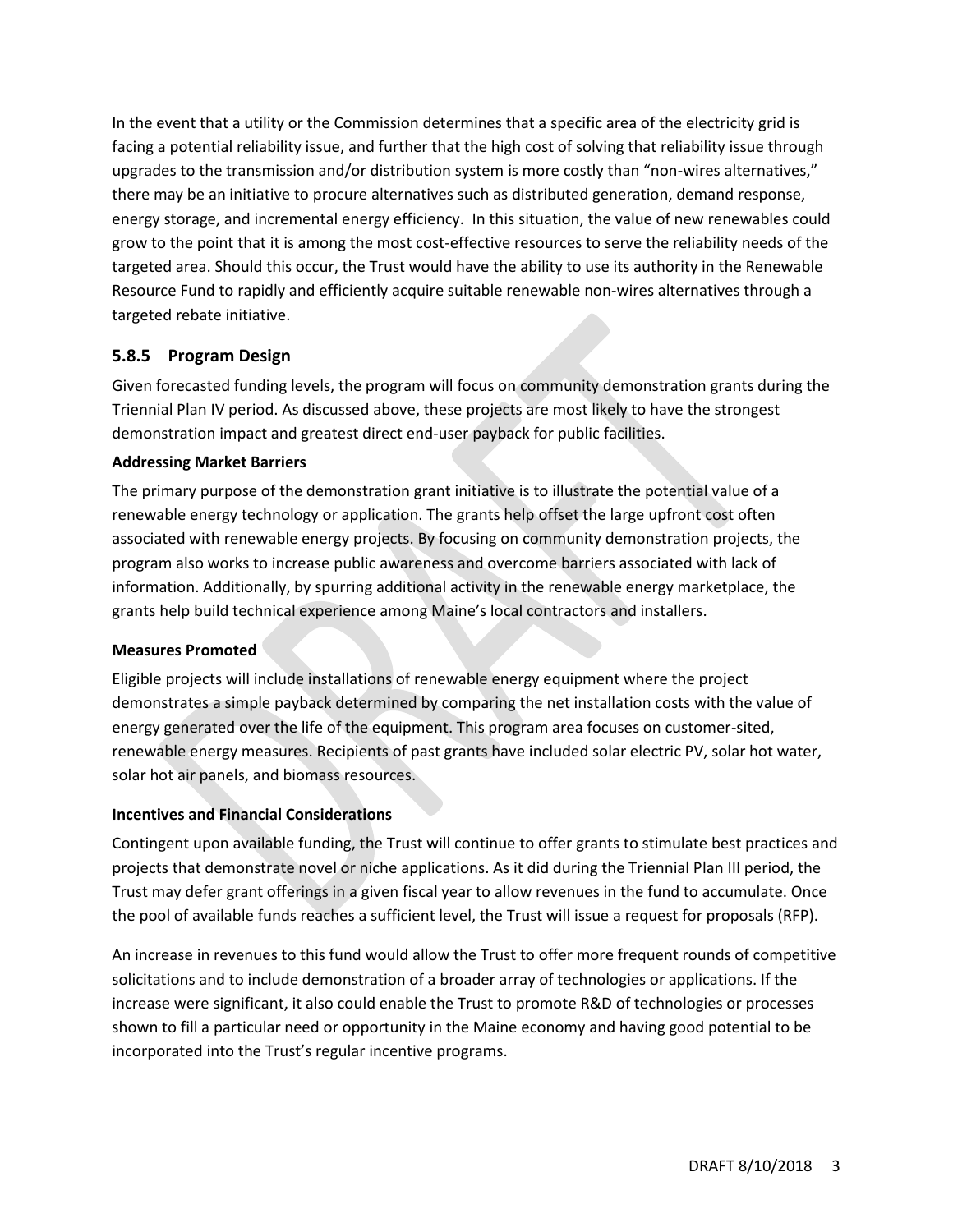In the event that a utility or the Commission determines that a specific area of the electricity grid is facing a potential reliability issue, and further that the high cost of solving that reliability issue through upgrades to the transmission and/or distribution system is more costly than "non-wires alternatives," there may be an initiative to procure alternatives such as distributed generation, demand response, energy storage, and incremental energy efficiency. In this situation, the value of new renewables could grow to the point that it is among the most cost-effective resources to serve the reliability needs of the targeted area. Should this occur, the Trust would have the ability to use its authority in the Renewable Resource Fund to rapidly and efficiently acquire suitable renewable non-wires alternatives through a targeted rebate initiative.

# **5.8.5 Program Design**

Given forecasted funding levels, the program will focus on community demonstration grants during the Triennial Plan IV period. As discussed above, these projects are most likely to have the strongest demonstration impact and greatest direct end-user payback for public facilities.

#### **Addressing Market Barriers**

The primary purpose of the demonstration grant initiative is to illustrate the potential value of a renewable energy technology or application. The grants help offset the large upfront cost often associated with renewable energy projects. By focusing on community demonstration projects, the program also works to increase public awareness and overcome barriers associated with lack of information. Additionally, by spurring additional activity in the renewable energy marketplace, the grants help build technical experience among Maine's local contractors and installers.

## **Measures Promoted**

Eligible projects will include installations of renewable energy equipment where the project demonstrates a simple payback determined by comparing the net installation costs with the value of energy generated over the life of the equipment. This program area focuses on customer-sited, renewable energy measures. Recipients of past grants have included solar electric PV, solar hot water, solar hot air panels, and biomass resources.

## **Incentives and Financial Considerations**

Contingent upon available funding, the Trust will continue to offer grants to stimulate best practices and projects that demonstrate novel or niche applications. As it did during the Triennial Plan III period, the Trust may defer grant offerings in a given fiscal year to allow revenues in the fund to accumulate. Once the pool of available funds reaches a sufficient level, the Trust will issue a request for proposals (RFP).

An increase in revenues to this fund would allow the Trust to offer more frequent rounds of competitive solicitations and to include demonstration of a broader array of technologies or applications. If the increase were significant, it also could enable the Trust to promote R&D of technologies or processes shown to fill a particular need or opportunity in the Maine economy and having good potential to be incorporated into the Trust's regular incentive programs.